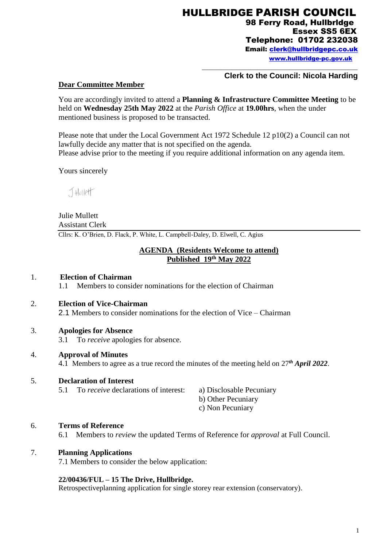HULLBRIDGE PARISH COUNCIL 98 Ferry Road, Hullbrldge Essex SS5 6EX Telephone: 01702 232038 Email: [clerk@hullbridgepc.co.uk](mailto:clerk@hullbridgepc.co.uk)  [www.hullbridge-pc.gov.uk](http://www.hullbridge-pc.gov.uk/)

\_\_\_\_\_\_\_\_\_\_\_\_\_\_\_\_\_\_\_\_\_\_\_\_\_\_\_\_\_\_\_\_\_\_\_\_\_\_\_\_\_\_\_\_\_\_\_\_

# **Clerk to the Council: Nicola Harding**

#### **Dear Committee Member**

You are accordingly invited to attend a **Planning & Infrastructure Committee Meeting** to be held on **Wednesday 25th May 2022** at the *Parish Office* at **19.00hrs**, when the under mentioned business is proposed to be transacted.

Please note that under the Local Government Act 1972 Schedule 12 p10(2) a Council can not lawfully decide any matter that is not specified on the agenda. Please advise prior to the meeting if you require additional information on any agenda item.

Yours sincerely

 $JHollet$ 

Julie Mullett Assistant Clerk

Cllrs: K. O'Brien, D. Flack, P. White, L. Campbell-Daley, D. Elwell, C. Agius

## **AGENDA (Residents Welcome to attend) Published 19th May 2022**

#### 1. **Election of Chairman**

1.1 Members to consider nominations for the election of Chairman

2. **Election of Vice-Chairman**

2.1 Members to consider nominations for the election of Vice – Chairman

3. **Apologies for Absence**

3.1 To *receive* apologies for absence.

4. **Approval of Minutes**

4.1 Members to agree as a true record the minutes of the meeting held on 27*th April 2022*.

## 5. **Declaration of Interest**

5.1 To *receive* declarations of interest: a) Disclosable Pecuniary

b) Other Pecuniary

c) Non Pecuniary

#### 6. **Terms of Reference**

6.1Members to *review* the updated Terms of Reference for *approval* at Full Council.

#### 7. **Planning Applications**

7.1 Members to consider the below application:

### **22/00436/FUL – 15 The Drive, Hullbridge.**

Retrospectiveplanning application for single storey rear extension (conservatory).